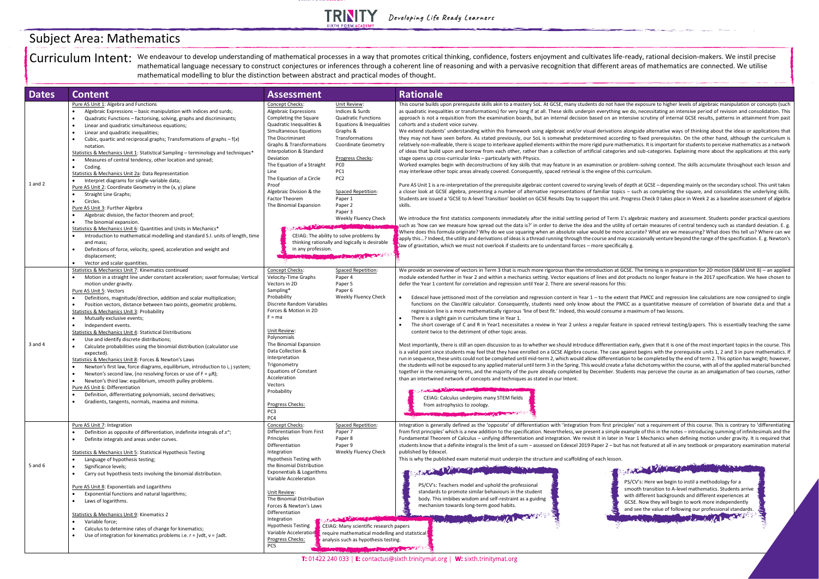## **TRINITY**

| <b>Dates</b> | <b>Content</b>                                                                                                                                                                                                                                                                                                                                                                                                                                                                                                                                                                                                                                                                                                                                                                                                                                                                                                                                                                                                                                                                                                                                                                                                                                                            | <b>Assessment</b>                                                                                                                                                                                                                                                                                                                                                                                                                                                                                                                                                                                                                                                                                                                       | <b>Rationale</b>                                                                                                                                                                                                                                                                                                                                                                                                                                                                                                                                                                                                                                                                                                                                                                                                                                                                                                                                                                                                                                                                                                                                                                                                                                                                                                                                                                                                                                                                                                                                                                                                                                                                                                                                                                                                                                                                                                                                                                                                                                                                                                                                                            |
|--------------|---------------------------------------------------------------------------------------------------------------------------------------------------------------------------------------------------------------------------------------------------------------------------------------------------------------------------------------------------------------------------------------------------------------------------------------------------------------------------------------------------------------------------------------------------------------------------------------------------------------------------------------------------------------------------------------------------------------------------------------------------------------------------------------------------------------------------------------------------------------------------------------------------------------------------------------------------------------------------------------------------------------------------------------------------------------------------------------------------------------------------------------------------------------------------------------------------------------------------------------------------------------------------|-----------------------------------------------------------------------------------------------------------------------------------------------------------------------------------------------------------------------------------------------------------------------------------------------------------------------------------------------------------------------------------------------------------------------------------------------------------------------------------------------------------------------------------------------------------------------------------------------------------------------------------------------------------------------------------------------------------------------------------------|-----------------------------------------------------------------------------------------------------------------------------------------------------------------------------------------------------------------------------------------------------------------------------------------------------------------------------------------------------------------------------------------------------------------------------------------------------------------------------------------------------------------------------------------------------------------------------------------------------------------------------------------------------------------------------------------------------------------------------------------------------------------------------------------------------------------------------------------------------------------------------------------------------------------------------------------------------------------------------------------------------------------------------------------------------------------------------------------------------------------------------------------------------------------------------------------------------------------------------------------------------------------------------------------------------------------------------------------------------------------------------------------------------------------------------------------------------------------------------------------------------------------------------------------------------------------------------------------------------------------------------------------------------------------------------------------------------------------------------------------------------------------------------------------------------------------------------------------------------------------------------------------------------------------------------------------------------------------------------------------------------------------------------------------------------------------------------------------------------------------------------------------------------------------------------|
| $1$ and $2$  | Pure AS Unit 1: Algebra and Functions<br>Algebraic Expressions – basic manipulation with indices and surds;<br>Quadratic Functions - factorising, solving, graphs and discriminants;<br>Linear and quadratic simultaneous equations;<br>$\bullet$<br>Linear and quadratic inequalities;<br>$\bullet$<br>Cubic, quartic and reciprocal graphs; Transformations of graphs $-f(x)$<br>$\bullet$<br>notation.<br>Statistics & Mechanics Unit 1: Statistical Sampling - terminology and techniques*<br>Measures of central tendency, other location and spread;<br>Coding.<br>$\bullet$<br>Statistics & Mechanics Unit 2a: Data Representation<br>Interpret diagrams for single-variable data;<br>Pure AS Unit 2: Coordinate Geometry in the (x, y) plane<br>Straight Line Graphs;<br>$\bullet$<br>Circles.<br>$\bullet$<br>Pure AS Unit 3: Further Algebra<br>Algebraic division, the factor theorem and proof;<br>The binomial expansion.<br>$\bullet$<br>Statistics & Mechanics Unit 6: Quantities and Units in Mechanics*<br>Introduction to mathematical modelling and standard S.I. units of length, time<br>$\bullet$<br>and mass;<br>Definitions of force, velocity, speed, acceleration and weight and<br>displacement;<br>Vector and scalar quantities.<br>$\bullet$ | Concept Checks:<br>Unit Review:<br>Indices & Surds<br>Algebraic Expressions<br><b>Quadratic Functions</b><br>Completing the Square<br>Quadratic Inequalities &<br>Simultaneous Equations<br>Graphs &<br>The Discriminant<br>Transformations<br><b>Graphs &amp; Transformations</b><br>Interpolation & Standard<br>Progress Checks:<br>Deviation<br>PC <sub>0</sub><br>The Equation of a Straight<br>PC1<br>Line<br>PC <sub>2</sub><br>The Equation of a Circle<br>Proof<br>Algebraic Division & the<br><b>Spaced Repetition:</b><br><b>Factor Theorem</b><br>Paper 1<br>The Binomial Expansion<br>Paper 2<br>Paper 3<br>CEIAG: The ability to solve problems by<br>thinking rationally and logically is desirable<br>in any profession. | This course builds upon prerequisite skills akin to a mastery SoL. At GCSE, many students do not have the<br>as quadratic inequalities or transformations) for very long if at all. These skills underpin everything we d<br>approach is not a requisition from the examination boards, but an internal decision based on an intensi<br>Equations & Inequalities<br>cohorts and a student voice survey.<br>We extend students' understanding within this framework using algebraic and/or visual derivations alon<br>they may not have seen before. As stated previously, our SoL is somewhat predetermined according t<br><b>Coordinate Geometry</b><br>relatively non-malleable, there is scope to interleave applied elements within the more rigid pure mathem<br>of ideas that build upon and borrow from each other, rather than a collection of artificial categories an<br>stage opens up cross-curricular links - particularly with Physics.<br>Worked examples begin with deconstructions of key skills that may feature in an examination or proble<br>may interleave other topic areas already covered. Consequently, spaced retrieval is the engine of this cur<br>Pure AS Unit 1 is a re-interpretation of the prerequisite algebraic content covered to varying levels of depi<br>a closer look at GCSE algebra, presenting a number of alternative representations of familiar topics - s<br>Students are issued a 'GCSE to A-level Transition' booklet on GCSE Results Day to support this unit. Progr<br>skills.<br>Weekly Fluency Check<br>We introduce the first statistics components immediately after the initial settling period of Term 1's alg<br>such as 'how can we measure how spread out the data is?' in order to derive the idea and the utility of<br>Where does this formula originate? Why do we use squaring when an absolute value would be more accu<br>apply this? Indeed, the utility and derivations of ideas is a thread running through the course and may oc<br>$\blacksquare$ law of gravitation, which we must not overlook if students are to understand forces – more specifically g.<br><b>MARKET MARKET AND RESIDENCE</b> |
| 3 and 4      | Statistics & Mechanics Unit 7: Kinematics continued<br>Motion in a straight line under constant acceleration; suvat formulae; Vertical<br>$\bullet$<br>motion under gravity.<br>Pure AS Unit 5: Vectors<br>Definitions, magnitude/direction, addition and scalar multiplication;<br>Position vectors, distance between two points, geometric problems.<br>$\bullet$<br><b>Statistics &amp; Mechanics Unit 3: Probability</b><br>Mutually exclusive events;<br>Independent events.<br><b>Statistics &amp; Mechanics Unit 4: Statistical Distributions</b><br>Use and identify discrete distributions;<br>Calculate probabilities using the binomial distribution (calculator use<br>$\bullet$<br>expected).<br>Statistics & Mechanics Unit 8: Forces & Newton's Laws<br>Newton's first law, force diagrams, equilibrium, introduction to i, j system;<br>Newton's second law, (no resolving forces or use of $F = \mu R$ );<br>Newton's third law: equilibrium, smooth pulley problems.<br>Pure AS Unit 6: Differentiation<br>Definition, differentiating polynomials, second derivatives;<br>Gradients, tangents, normals, maxima and minima.<br>$\bullet$                                                                                                                | Concept Checks:<br>Spaced Repetition:<br>Velocity-Time Graphs<br>Paper 4<br>Vectors in 2D<br>Paper 5<br>Sampling*<br>Paper <sub>6</sub><br>Probability<br>Discrete Random Variables<br>Forces & Motion in 2D<br>$F = ma$<br>Unit Review:<br>Polynomials<br>The Binomial Expansion<br>Data Collection &<br>Interpretation<br>Trigonometry<br><b>Equations of Constant</b><br>Acceleration<br>Vectors<br>Probability<br>Progress Checks:<br>PC3<br>PC4                                                                                                                                                                                                                                                                                    | We provide an overview of vectors in Term 3 that is much more rigorous than the introduction at GCSE.<br>module extended further in Year 2 and within a mechanics setting. Vector equations of lines and dot pro<br>defer the Year 1 content for correlation and regression until Year 2. There are several reasons for this:<br>Weekly Fluency Check<br>Edexcel have jettisoned most of the correlation and regression content in Year $1 -$ to the extent the<br>$\bullet$<br>functions on the ClassWiz calculator. Consequently, students need only know about the PMCC a<br>regression line is a more mathematically rigorous 'line of best fit.' Indeed, this would consume a ma<br>There is a slight gain in curriculum time in Year 1.<br>The short coverage of C and R in Year1 necessitates a review in Year 2 unless a regular feature in<br>content twice to the detriment of other topic areas.<br>Most importantly, there is still an open discussion to as to whether we should introduce differentiation ea<br>is a valid point since students may feel that they have enrolled on a GCSE Algebra course. The case again<br>run in sequence, these units could not be completed until mid-term 2, which would allow differentiation t<br>the students will not be exposed to any applied material until term 3 in the Spring. This would create a false<br>together in the remaining terms, and the majority of the pure already completed by December. Student<br>than an intertwined network of concepts and techniques as stated in our Intent.<br>The Company of the Company of the Company of the Company of the Company of the Company of the Company of the Company of the Company of the Company of the Company of the Company of the Company of the Company of the Company<br>CEIAG: Calculus underpins many STEM fields<br>from astrophysics to zoology.<br><b>COMPANY OF BUILDING CARD AND ARRANGEMENT</b>                                                                                                                                                                                                                                        |
| 5 and $6$    | Pure AS Unit 7: Integration<br>Definition as opposite of differentiation, indefinite integrals of $x^n$ ;<br>Definite integrals and areas under curves.<br><b>Statistics &amp; Mechanics Unit 5: Statistical Hypothesis Testing</b><br>Language of hypothesis testing;<br>Significance levels;<br>$\bullet$<br>Carry out hypothesis tests involving the binomial distribution.<br>Pure AS Unit 8: Exponentials and Logarithms<br>Exponential functions and natural logarithms;<br>Laws of logarithms.<br>Statistics & Mechanics Unit 9: Kinematics 2<br>Variable force;<br>Calculus to determine rates of change for kinematics;<br>Use of integration for kinematics problems i.e. $r = \frac{v}{dt}$ , $v = \frac{adt}{dt}$ .                                                                                                                                                                                                                                                                                                                                                                                                                                                                                                                                           | Concept Checks:<br><b>Spaced Repetition:</b><br>Differentiation from First<br>Paper 7<br>Principles<br>Paper 8<br>Differentiation<br>Paper 9<br>Integration<br>Hypothesis Testing with<br>the Binomial Distribution<br>Exponentials & Logarithms<br>Variable Acceleration<br>Unit Review:<br>The Binomial Distribution<br>Forces & Newton's Laws<br>Differentiation<br>Integration<br><b>Hypothesis Testing</b><br>Variable Acceleration<br>Progress Checks:<br>PC <sub>5</sub>                                                                                                                                                                                                                                                         | Integration is generally defined as the 'opposite' of differentiation with 'integration from first principles<br>from first principles' which is a new addition to the specification. Nevertheless, we present a simple exam<br>Fundamental Theorem of Calculus - unifying differentiation and integration. We revisit it in later in Yea<br>students know that a definite integral is the limit of a sum - assessed on Edexcel 2019 Paper 2 - but has r<br>Weekly Fluency Check<br>published by Edexcel.<br>This is why the published exam material must underpin the structure and scaffolding of each lesson.<br><b>CONTRACTOR</b><br>فتركيب<br>PS/<br>PS/CV's: Teachers model and uphold the professional<br>smc<br>standards to promote similar behaviours in the student<br>with<br>body. This imbibes wisdom and self-restraint as a guiding<br>GCS<br>mechanism towards long-term good habits.<br>and<br>MARINE LA MILLA LA CARA<br>CEIAG: Many scientific research papers<br>require mathematical modelling and statistical<br>analysis such as hypothesis testing.<br><b>Comment of the Comment of Comment of Street, and Street, Street, The Commercial Commercial Commercial Commercial Commercial Commercial Commercial Commercial Commercial Commercial Commercial Commercial Commercial Commercia</b>                                                                                                                                                                                                                                                                                                                                                                                                                                                                                                                                                                                                                                                                                                                                                                                                                                                        |

ave the exposure to higher levels of algebraic manipulation or concepts (such g we do, necessitating an intensive period of revision and consolidation. This intensive scrutiny of internal GCSE results, patterns in attainment from past

ns alongside alternative ways of thinking about the ideas or applications that ording to fixed prerequisites. On the other hand, although the curriculum is athematics. It is important for students to perceive mathematics as a network ries and sub-categories. Explaining more about the applications at this early

problem-solving context. The skills accumulate throughout each lesson and his curriculum.

of depth at GCSE – depending mainly on the secondary school. This unit takes bics – such as completing the square, and consolidates the underlying skills. . Progress Check 0 takes place in Week 2 as a baseline assessment of algebra

I 1's algebraic mastery and assessment. Students ponder practical questions ility of certain measures of central tendency such as standard deviation. E. g. ore accurate? What are we measuring? What does this tell us? Where can we nay occasionally venture beyond the range of the specification. E. g. Newton's

GCSE. The timing is in preparation for 2D motion (S&M Unit 8) – an applied dot products no longer feature in the 2017 specification. We have chosen to

tent that PMCC and regression line calculations are now consigned to single MCC as a quantitative measure of correlation of bivariate data and that a ne a maximum of two lessons.

ure in spaced retrieval testing/papers. This is essentially teaching the same

tion early, given that it is one of the most important topics in the course. This against begins with the prerequisite units 1, 2 and 3 in pure mathematics. If ation to be completed by the end of term 2. This option has weight; however, the students and any applied to any applied material dunched in the Spring. The Course a false dichotomy within the course, with all of the applied material bunched tudents may perceive the course as an amalgamation of two courses, rather

nciples' not a requirement of this course. This is contrary to 'differentiating example of this in the notes – introducing summing of infinitesimals and the in Year 1 Mechanics when defining motion under gravity. It is required that at has not featured at all in any textbook or preparatory examination material

The Williams PS/CV's: Here we begin to instil a methodology for a smooth transition to A-level mathematics. Students arrive with different backgrounds and different experiences at GCSE. Now they will begin to work more independently and see the value of following our professional standards. **COMMUNITY OF STREET** 

Curriculum Intent: We endeavour to develop understanding of mathematical processes in a way that promotes critical thinking, confidence, fosters enjoyment and cultivates life-ready, rational decision-makers. We instil prec mathematical language necessary to construct conjectures or inferences through a coherent line of reasoning and with a pervasive recognition that different areas of mathematics are connected. We utilise mathematical modelling to blur the distinction between abstract and practical modes of thought.

## Subject Area: Mathematics